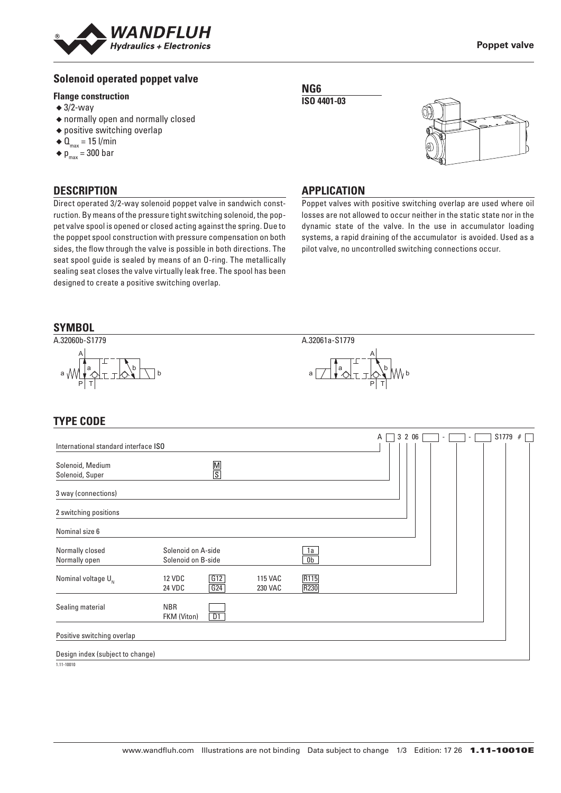

## **Solenoid operated poppet valve**

#### **Flange construction**

- $\triangleleft$  3/2-way
- ◆ normally open and normally closed
- ◆ positive switching overlap
- $\triangleleft$  Q<sub>max</sub> = 15 l/min
- $\bullet$  p<sub>max</sub> = 300 bar

#### **DESCRIPTION**

Direct operated 3/2-way solenoid poppet valve in sandwich construction. By means of the pressure tight switching solenoid, the poppet valve spool is opened or closed acting against the spring. Due to the poppet spool construction with pressure compensation on both sides, the flow through the valve is possible in both directions. The seat spool guide is sealed by means of an O-ring. The metallically sealing seat closes the valve virtually leak free. The spool has been designed to create a positive switching overlap.

#### **NG6 ISO 4401-03**



#### **APPLICATION**

Poppet valves with positive switching overlap are used where oil losses are not allowed to occur neither in the static state nor in the dynamic state of the valve. In the use in accumulator loading systems, a rapid draining of the accumulator is avoided. Used as a pilot valve, no uncontrolled switching connections occur.



## **TYPE CODE**

|                                      |                                          |                           |                             | Α | 3 2 0 6 |  |  | S1779 | # |  |
|--------------------------------------|------------------------------------------|---------------------------|-----------------------------|---|---------|--|--|-------|---|--|
| International standard interface ISO |                                          |                           |                             |   |         |  |  |       |   |  |
| Solenoid, Medium<br>Solenoid, Super  | $\frac{\mathsf{M}}{\mathsf{S}}$          |                           |                             |   |         |  |  |       |   |  |
| 3 way (connections)                  |                                          |                           |                             |   |         |  |  |       |   |  |
| 2 switching positions                |                                          |                           |                             |   |         |  |  |       |   |  |
| Nominal size 6                       |                                          |                           |                             |   |         |  |  |       |   |  |
| Normally closed<br>Normally open     | Solenoid on A-side<br>Solenoid on B-side |                           | <u>1a</u><br>0 <sub>b</sub> |   |         |  |  |       |   |  |
| Nominal voltage $U_{N}$              | G12<br><b>12 VDC</b><br>G24<br>24 VDC    | 115 VAC<br><b>230 VAC</b> | R115<br>R230                |   |         |  |  |       |   |  |
| Sealing material                     | <b>NBR</b><br>D1<br>FKM (Viton)          |                           |                             |   |         |  |  |       |   |  |
| Positive switching overlap           |                                          |                           |                             |   |         |  |  |       |   |  |
| Design index (subject to change)     |                                          |                           |                             |   |         |  |  |       |   |  |

 $1.11 - 10010$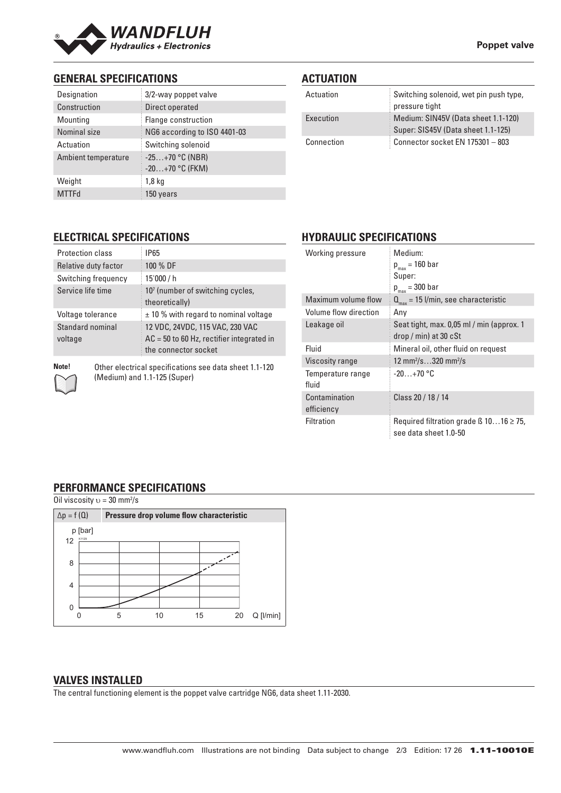

# **GENERAL SPECIFICATIONS**

| Designation         | 3/2-way poppet valve                   |  |  |
|---------------------|----------------------------------------|--|--|
| Construction        | Direct operated                        |  |  |
| Mounting            | Flange construction                    |  |  |
| Nominal size        | NG6 according to ISO 4401-03           |  |  |
| Actuation           | Switching solenoid                     |  |  |
| Ambient temperature | $-25+70$ °C (NBR)<br>$-20+70$ °C (FKM) |  |  |
| Weight              | 1,8 kg                                 |  |  |
| <b>MTTFd</b>        | 150 years                              |  |  |

# **ACTUATION**

| Actuation  | Switching solenoid, wet pin push type,<br>pressure tight                  |
|------------|---------------------------------------------------------------------------|
| Execution  | Medium: SIN45V (Data sheet 1.1-120)<br>Super: SIS45V (Data sheet 1.1-125) |
| Connection | Connector socket EN 175301 - 803                                          |

# **ELECTRICAL SPECIFICATIONS**

| <b>Protection class</b>     | IP65                                                                                                   |
|-----------------------------|--------------------------------------------------------------------------------------------------------|
| Relative duty factor        | 100 % DF                                                                                               |
| Switching frequency         | 15'000 / h                                                                                             |
| Service life time           | 10 <sup>7</sup> (number of switching cycles,<br>theoretically)                                         |
| Voltage tolerance           | $\pm$ 10 % with regard to nominal voltage                                                              |
| Standard nominal<br>voltage | 12 VDC, 24VDC, 115 VAC, 230 VAC<br>$AC = 50$ to 60 Hz, rectifier integrated in<br>the connector socket |
|                             |                                                                                                        |

**Note!** Other electrical specifications see data sheet 1.1-120 (Medium) and 1.1-125 (Super)

# **HYDRAULIC SPECIFICATIONS**

| Working pressure            | Medium:<br>$p_{max}$ = 160 bar<br>Super:<br>$p_{max}$ = 300 bar            |
|-----------------------------|----------------------------------------------------------------------------|
| Maximum volume flow         | $Q_{\text{max}} = 15$ l/min, see characteristic                            |
| Volume flow direction       | Any                                                                        |
| Leakage oil                 | Seat tight, max. 0,05 ml / min (approx. 1<br>$drop / min)$ at 30 $cSt$     |
| Fluid                       | Mineral oil, other fluid on request                                        |
| <b>Viscosity range</b>      | 12 mm <sup>2</sup> /s320 mm <sup>2</sup> /s                                |
| Temperature range<br>fluid  | $-20+70$ °C                                                                |
| Contamination<br>efficiency | Class 20 / 18 / 14                                                         |
| <b>Filtration</b>           | Required filtration grade $\beta$ 1016 $\geq$ 75,<br>see data sheet 1.0-50 |

## **PERFORMANCE SPECIFICATIONS**

| Oil viscosity $v = 30$ mm <sup>2</sup> /s |                                          |    |    |    |                 |  |
|-------------------------------------------|------------------------------------------|----|----|----|-----------------|--|
| $\Delta p = f(Q)$                         | Pressure drop volume flow characteristic |    |    |    |                 |  |
| p [bar]<br>K1129<br>12                    |                                          |    |    |    |                 |  |
| 8                                         |                                          |    |    |    |                 |  |
| $\overline{4}$                            |                                          |    |    |    |                 |  |
| 0                                         | 5                                        | 10 | 15 | 20 | $Q$ [ $l/min$ ] |  |

#### **VALVES INSTALLED**

The central functioning element is the poppet valve cartridge NG6, data sheet 1.11-2030.